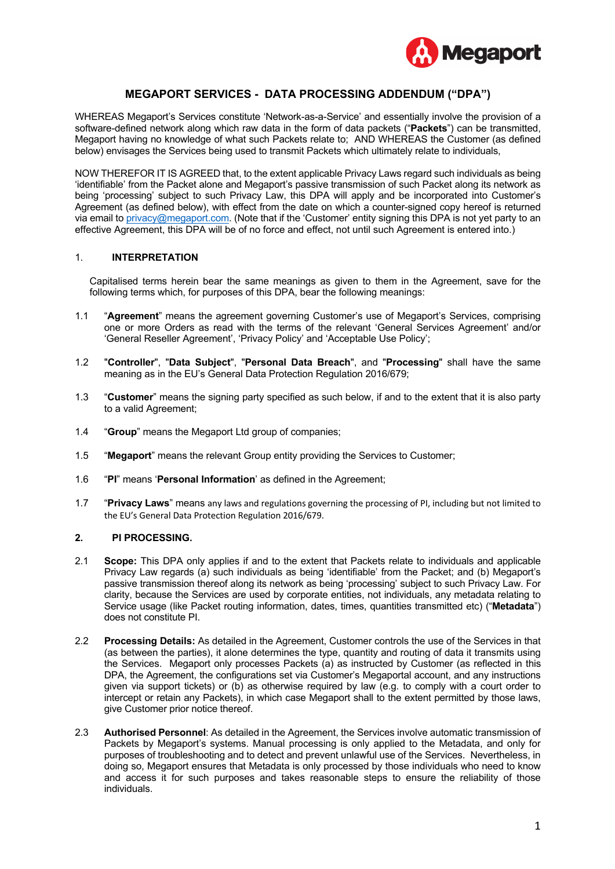

## **MEGAPORT SERVICES - DATA PROCESSING ADDENDUM ("DPA")**

WHEREAS Megaport's Services constitute 'Network-as-a-Service' and essentially involve the provision of a software-defined network along which raw data in the form of data packets ("**Packets**") can be transmitted, Megaport having no knowledge of what such Packets relate to; AND WHEREAS the Customer (as defined below) envisages the Services being used to transmit Packets which ultimately relate to individuals,

NOW THEREFOR IT IS AGREED that, to the extent applicable Privacy Laws regard such individuals as being 'identifiable' from the Packet alone and Megaport's passive transmission of such Packet along its network as being 'processing' subject to such Privacy Law, this DPA will apply and be incorporated into Customer's Agreement (as defined below), with effect from the date on which a counter-signed copy hereof is returned via email to privacy@megaport.com. (Note that if the 'Customer' entity signing this DPA is not yet party to an effective Agreement, this DPA will be of no force and effect, not until such Agreement is entered into.)

## 1. **INTERPRETATION**

Capitalised terms herein bear the same meanings as given to them in the Agreement, save for the following terms which, for purposes of this DPA, bear the following meanings:

- 1.1 "**Agreement**" means the agreement governing Customer's use of Megaport's Services, comprising one or more Orders as read with the terms of the relevant 'General Services Agreement' and/or 'General Reseller Agreement', 'Privacy Policy' and 'Acceptable Use Policy';
- 1.2 "**Controller**", "**Data Subject**", "**Personal Data Breach**", and "**Processing**" shall have the same meaning as in the EU's General Data Protection Regulation 2016/679;
- 1.3 "**Customer**" means the signing party specified as such below, if and to the extent that it is also party to a valid Agreement;
- 1.4 "**Group**" means the Megaport Ltd group of companies;
- 1.5 "**Megaport**" means the relevant Group entity providing the Services to Customer;
- 1.6 "**PI**" means '**Personal Information**' as defined in the Agreement;
- 1.7 "**Privacy Laws**" means any laws and regulations governing the processing of PI, including but not limited to the EU's General Data Protection Regulation 2016/679.

## **2. PI PROCESSING.**

- 2.1 **Scope:** This DPA only applies if and to the extent that Packets relate to individuals and applicable Privacy Law regards (a) such individuals as being 'identifiable' from the Packet; and (b) Megaport's passive transmission thereof along its network as being 'processing' subject to such Privacy Law. For clarity, because the Services are used by corporate entities, not individuals, any metadata relating to Service usage (like Packet routing information, dates, times, quantities transmitted etc) ("**Metadata**") does not constitute PI.
- 2.2 **Processing Details:** As detailed in the Agreement, Customer controls the use of the Services in that (as between the parties), it alone determines the type, quantity and routing of data it transmits using the Services.Megaport only processes Packets (a) as instructed by Customer (as reflected in this DPA, the Agreement, the configurations set via Customer's Megaportal account, and any instructions given via support tickets) or (b) as otherwise required by law (e.g. to comply with a court order to intercept or retain any Packets), in which case Megaport shall to the extent permitted by those laws, give Customer prior notice thereof.
- 2.3 **Authorised Personnel**: As detailed in the Agreement, the Services involve automatic transmission of Packets by Megaport's systems. Manual processing is only applied to the Metadata, and only for purposes of troubleshooting and to detect and prevent unlawful use of the Services. Nevertheless, in doing so, Megaport ensures that Metadata is only processed by those individuals who need to know and access it for such purposes and takes reasonable steps to ensure the reliability of those individuals.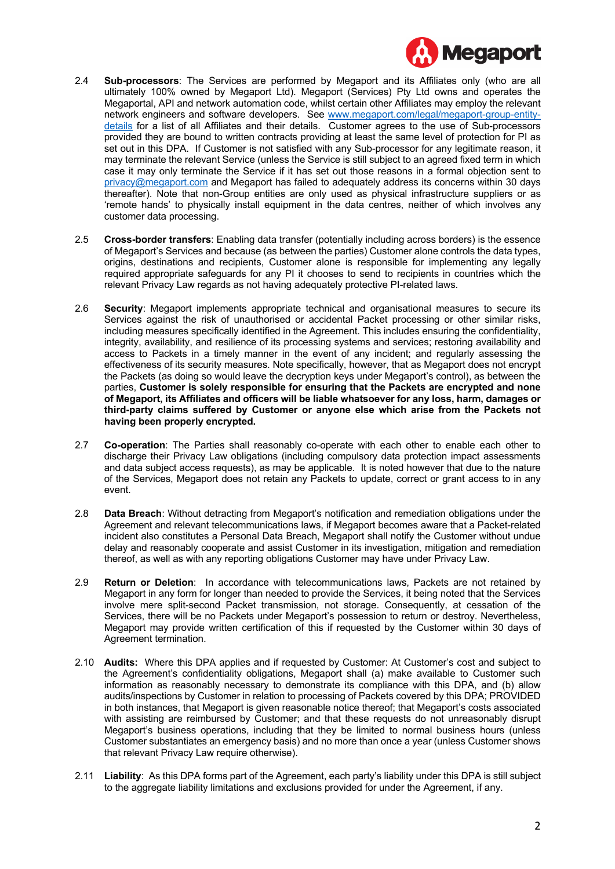

- 2.4 **Sub-processors**: The Services are performed by Megaport and its Affiliates only (who are all ultimately 100% owned by Megaport Ltd). Megaport (Services) Pty Ltd owns and operates the Megaportal, API and network automation code, whilst certain other Affiliates may employ the relevant network engineers and software developers. See www.megaport.com/legal/megaport-group-entitydetails for a list of all Affiliates and their details. Customer agrees to the use of Sub-processors provided they are bound to written contracts providing at least the same level of protection for PI as set out in this DPA. If Customer is not satisfied with any Sub-processor for any legitimate reason, it may terminate the relevant Service (unless the Service is still subject to an agreed fixed term in which case it may only terminate the Service if it has set out those reasons in a formal objection sent to privacy@megaport.com and Megaport has failed to adequately address its concerns within 30 days thereafter). Note that non-Group entities are only used as physical infrastructure suppliers or as 'remote hands' to physically install equipment in the data centres, neither of which involves any customer data processing.
- 2.5 **Cross-border transfers**: Enabling data transfer (potentially including across borders) is the essence of Megaport's Services and because (as between the parties) Customer alone controls the data types, origins, destinations and recipients, Customer alone is responsible for implementing any legally required appropriate safeguards for any PI it chooses to send to recipients in countries which the relevant Privacy Law regards as not having adequately protective PI-related laws.
- 2.6 **Security**: Megaport implements appropriate technical and organisational measures to secure its Services against the risk of unauthorised or accidental Packet processing or other similar risks, including measures specifically identified in the Agreement. This includes ensuring the confidentiality, integrity, availability, and resilience of its processing systems and services; restoring availability and access to Packets in a timely manner in the event of any incident; and regularly assessing the effectiveness of its security measures. Note specifically, however, that as Megaport does not encrypt the Packets (as doing so would leave the decryption keys under Megaport's control), as between the parties, **Customer is solely responsible for ensuring that the Packets are encrypted and none of Megaport, its Affiliates and officers will be liable whatsoever for any loss, harm, damages or third-party claims suffered by Customer or anyone else which arise from the Packets not having been properly encrypted.**
- 2.7 **Co-operation**: The Parties shall reasonably co-operate with each other to enable each other to discharge their Privacy Law obligations (including compulsory data protection impact assessments and data subject access requests), as may be applicable. It is noted however that due to the nature of the Services, Megaport does not retain any Packets to update, correct or grant access to in any event.
- 2.8 **Data Breach**: Without detracting from Megaport's notification and remediation obligations under the Agreement and relevant telecommunications laws, if Megaport becomes aware that a Packet-related incident also constitutes a Personal Data Breach, Megaport shall notify the Customer without undue delay and reasonably cooperate and assist Customer in its investigation, mitigation and remediation thereof, as well as with any reporting obligations Customer may have under Privacy Law.
- 2.9 **Return or Deletion**: In accordance with telecommunications laws, Packets are not retained by Megaport in any form for longer than needed to provide the Services, it being noted that the Services involve mere split-second Packet transmission, not storage. Consequently, at cessation of the Services, there will be no Packets under Megaport's possession to return or destroy. Nevertheless, Megaport may provide written certification of this if requested by the Customer within 30 days of Agreement termination.
- 2.10 **Audits:** Where this DPA applies and if requested by Customer: At Customer's cost and subject to the Agreement's confidentiality obligations, Megaport shall (a) make available to Customer such information as reasonably necessary to demonstrate its compliance with this DPA, and (b) allow audits/inspections by Customer in relation to processing of Packets covered by this DPA; PROVIDED in both instances, that Megaport is given reasonable notice thereof; that Megaport's costs associated with assisting are reimbursed by Customer; and that these requests do not unreasonably disrupt Megaport's business operations, including that they be limited to normal business hours (unless Customer substantiates an emergency basis) and no more than once a year (unless Customer shows that relevant Privacy Law require otherwise).
- 2.11 **Liability**: As this DPA forms part of the Agreement, each party's liability under this DPA is still subject to the aggregate liability limitations and exclusions provided for under the Agreement, if any.